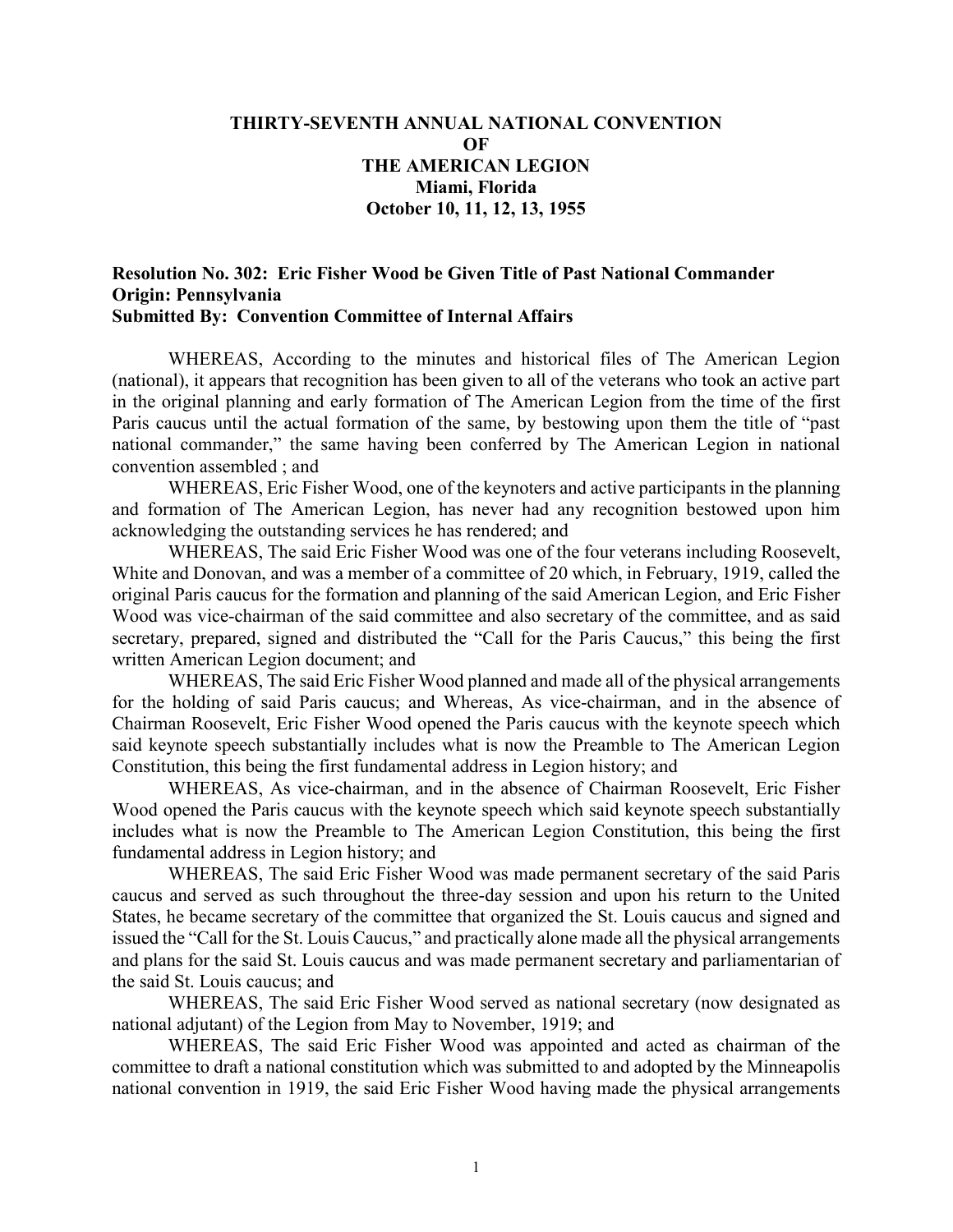## **THIRTY-SEVENTH ANNUAL NATIONAL CONVENTION OF THE AMERICAN LEGION Miami, Florida October 10, 11, 12, 13, 1955**

## **Resolution No. 302: Eric Fisher Wood be Given Title of Past National Commander Origin: Pennsylvania Submitted By: Convention Committee of Internal Affairs**

WHEREAS, According to the minutes and historical files of The American Legion (national), it appears that recognition has been given to all of the veterans who took an active part in the original planning and early formation of The American Legion from the time of the first Paris caucus until the actual formation of the same, by bestowing upon them the title of "past national commander," the same having been conferred by The American Legion in national convention assembled ; and

WHEREAS, Eric Fisher Wood, one of the keynoters and active participants in the planning and formation of The American Legion, has never had any recognition bestowed upon him acknowledging the outstanding services he has rendered; and

WHEREAS, The said Eric Fisher Wood was one of the four veterans including Roosevelt, White and Donovan, and was a member of a committee of 20 which, in February, 1919, called the original Paris caucus for the formation and planning of the said American Legion, and Eric Fisher Wood was vice-chairman of the said committee and also secretary of the committee, and as said secretary, prepared, signed and distributed the "Call for the Paris Caucus," this being the first written American Legion document; and

WHEREAS, The said Eric Fisher Wood planned and made all of the physical arrangements for the holding of said Paris caucus; and Whereas, As vice-chairman, and in the absence of Chairman Roosevelt, Eric Fisher Wood opened the Paris caucus with the keynote speech which said keynote speech substantially includes what is now the Preamble to The American Legion Constitution, this being the first fundamental address in Legion history; and

WHEREAS, As vice-chairman, and in the absence of Chairman Roosevelt, Eric Fisher Wood opened the Paris caucus with the keynote speech which said keynote speech substantially includes what is now the Preamble to The American Legion Constitution, this being the first fundamental address in Legion history; and

WHEREAS, The said Eric Fisher Wood was made permanent secretary of the said Paris caucus and served as such throughout the three-day session and upon his return to the United States, he became secretary of the committee that organized the St. Louis caucus and signed and issued the "Call for the St. Louis Caucus," and practically alone made all the physical arrangements and plans for the said St. Louis caucus and was made permanent secretary and parliamentarian of the said St. Louis caucus; and

WHEREAS, The said Eric Fisher Wood served as national secretary (now designated as national adjutant) of the Legion from May to November, 1919; and

WHEREAS, The said Eric Fisher Wood was appointed and acted as chairman of the committee to draft a national constitution which was submitted to and adopted by the Minneapolis national convention in 1919, the said Eric Fisher Wood having made the physical arrangements